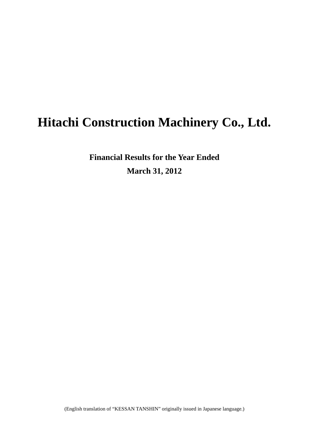# **Hitachi Construction Machinery Co., Ltd.**

**Financial Results for the Year Ended March 31, 2012**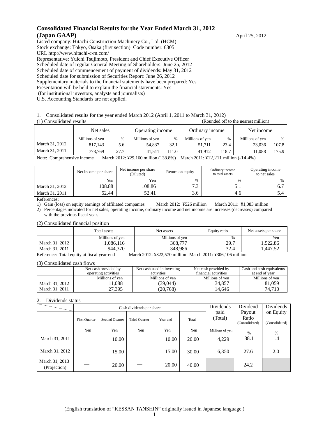## **Consolidated Financial Results for the Year Ended March 31, 2012 (Japan GAAP)** April 25, 2012

Listed company: Hitachi Construction Machinery Co., Ltd. (HCM) Stock exchange: Tokyo, Osaka (first section) Code number: 6305 URL http://www.hitachi-c-m.com/ Representative: Yuichi Tsujimoto, President and Chief Executive Officer Scheduled date of regular General Meeting of Shareholders: June 25, 2012 Scheduled date of commencement of payment of dividends: May 31, 2012 Scheduled date for submission of Securities Report: June 26, 2012 Supplementary materials to the financial statements have been prepared: Yes Presentation will be held to explain the financial statements: Yes

(for institutional investors, analysts and journalists)

U.S. Accounting Standards are not applied.

1. Consolidated results for the year ended March 2012 (April 1, 2011 to March 31, 2012)

(1) Consolidated results (Rounded off to the nearest million)

| ri i Consonuateu results<br>тхойносо он то те неатем пипнонт |                 |      |                  |       |                 |                                                                                                                                                                                                               |                 |       |  |  |  |  |  |  |
|--------------------------------------------------------------|-----------------|------|------------------|-------|-----------------|---------------------------------------------------------------------------------------------------------------------------------------------------------------------------------------------------------------|-----------------|-------|--|--|--|--|--|--|
|                                                              | Net sales       |      | Operating income |       | Ordinary income |                                                                                                                                                                                                               | Net income      |       |  |  |  |  |  |  |
|                                                              | Millions of yen | %    | Millions of yen  | %     | Millions of yen | $\%$                                                                                                                                                                                                          | Millions of yen | $\%$  |  |  |  |  |  |  |
| March 31, 2012                                               | 817.143         | 5.6  | 54.837           | 32.1  | 51.711          | 23.4                                                                                                                                                                                                          | 23,036          | 107.8 |  |  |  |  |  |  |
| March 31, 2011                                               | 773.769         | 27.7 | 41.511           | 111.0 | 41.912          | 118.7                                                                                                                                                                                                         | 11.088          | 175.9 |  |  |  |  |  |  |
|                                                              |                 |      |                  |       |                 | $M_{\text{out}}$ $1.9019$ , $V(0.160 \ldots 11)$ $\ldots$ (120.00)) $M_{\text{out}}$ $M_{\text{out}}$ $2011$ , $V(12.211 \ldots 11)$ $\ldots$<br>$N_{\text{min}}$ $\alpha_{\text{min}}$ $\alpha_{\text{min}}$ |                 |       |  |  |  |  |  |  |

Note: Comprehensive income March 2012: ¥29,160 million (138.8%) March 2011: ¥12,211 million (-14.4%)

|                | Net income per share | Net income per share<br>(Diluted) | Return on equity | Ordinary income<br>to total assets | Operating income<br>to net sales |
|----------------|----------------------|-----------------------------------|------------------|------------------------------------|----------------------------------|
|                | Yen                  | Yen                               | $\%$             | $\frac{0}{6}$                      | $\frac{0}{0}$                    |
| March 31, 2012 | 108.88               | 108.86                            | 72               | 0.1                                | b.                               |
| March 31, 2011 | 52.44                | 52.41                             | 3.6              | 4.6                                | 5.4                              |

References:

1) Gain (loss) on equity earnings of affiliated companies March 2012: ¥526 million March 2011: ¥1,083 million

2) Percentages indicated for net sales, operating income, ordinary income and net income are increases (decreases) compared with the previous fiscal year.

(2) Consolidated financial position

|                | Total assets    | Net assets      | Equity ratio | Net assets per share |  |
|----------------|-----------------|-----------------|--------------|----------------------|--|
|                | Millions of yen | Millions of yen | $\%$         | Yen                  |  |
| March 31, 2012 | .086,116        | 368,777         | 29.7         | .522.86              |  |
| March 31, 2011 | 944.370         | 348.986         | 32.4         | .447.52              |  |

Reference: Total equity at fiscal year-end March 2012: ¥322,570 million March 2011: ¥306,106 million

(3) Consolidated cash flows

|                | Net cash provided by | Net cash used in investing | Net cash provided by | Cash and cash equivalents |
|----------------|----------------------|----------------------------|----------------------|---------------------------|
|                | operating activities | activities                 | financial activities | at end of year            |
|                | Millions of yen      | Millions of yen            | Millions of yen      | Millions of yen           |
| March 31, 2012 | 11,088               | (39,044)                   | 34.857               | 81,059                    |
| March 31, 2011 | 27.395               | (20.768)                   | 14.646               | 74.710                    |

#### 2. Dividends status

|                                |               |                | Cash dividends per share | Dividends | Dividend | Dividends       |                                   |                             |
|--------------------------------|---------------|----------------|--------------------------|-----------|----------|-----------------|-----------------------------------|-----------------------------|
|                                | First Ouarter | Second Quarter | Third Quarter            | Year end  | Total    | paid<br>(Total) | Payout<br>Ratio<br>(Consolidated) | on Equity<br>(Consolidated) |
|                                | Yen           | Yen            | Yen                      | Yen       | Yen      | Millions of yen | $\%$                              | $\%$                        |
| March 31, 2011                 |               | 10.00          |                          | 10.00     | 20.00    | 4,229           | 38.1                              | 1.4                         |
| March 31, 2012                 |               | 15.00          |                          | 15.00     | 30.00    | 6,350           | 27.6                              | 2.0                         |
| March 31, 2013<br>(Projection) |               | 20.00          |                          | 20.00     | 40.00    |                 | 24.2                              |                             |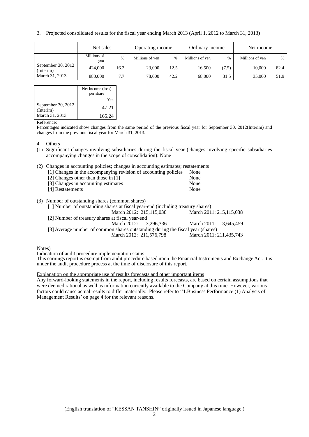3. Projected consolidated results for the fiscal year ending March 2013 (April 1, 2012 to March 31, 2013)

|                                 | Net sales          |      | Operating income |      | Ordinary income |       | Net income      |      |
|---------------------------------|--------------------|------|------------------|------|-----------------|-------|-----------------|------|
|                                 | Millions of<br>yen | $\%$ | Millions of yen  | $\%$ | Millions of yen | %     | Millions of yen | %    |
| September 30, 2012<br>(Interim) | 424,000            | 16.2 | 23,000           | 12.5 | 16.500          | (7.5) | 10.000          | 82.4 |
| March 31, 2013                  | 880,000            | 7.7  | 78,000           | 42.2 | 68,000          | 31.5  | 35,000          | 51.9 |

|                                 | Net income (loss)<br>per share |
|---------------------------------|--------------------------------|
|                                 | Yen                            |
| September 30, 2012<br>(Interim) | 47.21                          |
| March 31, 2013                  | 165.24                         |

Reference:

Percentages indicated show changes from the same period of the previous fiscal year for September 30, 2012(Interim) and changes from the previous fiscal year for March 31, 2013.

#### 4. Others

- (1) Significant changes involving subsidiaries during the fiscal year (changes involving specific subsidiaries accompanying changes in the scope of consolidation): None
- (2) Changes in accounting policies; changes in accounting estimates; restatements

|                  | [1] Changes in the accompanying revision of accounting policies |  |  | None |  |
|------------------|-----------------------------------------------------------------|--|--|------|--|
|                  | [2] Changes other than those in [1]                             |  |  | None |  |
|                  | [3] Changes in accounting estimates                             |  |  | None |  |
| [4] Restatements |                                                                 |  |  | None |  |
|                  |                                                                 |  |  |      |  |

(3) Number of outstanding shares (common shares)

| [1] Number of outstanding shares at fiscal year-end (including treasury shares) |                         |                         |  |  |  |  |  |  |
|---------------------------------------------------------------------------------|-------------------------|-------------------------|--|--|--|--|--|--|
|                                                                                 | March 2012: 215,115,038 | March 2011: 215,115,038 |  |  |  |  |  |  |
| [2] Number of treasury shares at fiscal year-end                                |                         |                         |  |  |  |  |  |  |
|                                                                                 | March 2012: 3.296.336   | March 2011: 3.645.459   |  |  |  |  |  |  |
| [3] Average number of common shares outstanding during the fiscal year (shares) |                         |                         |  |  |  |  |  |  |
|                                                                                 | March 2012: 211,576,798 | March 2011: 211,435,743 |  |  |  |  |  |  |

Notes)

Indication of audit procedure implementation status

This earnings report is exempt from audit procedure based upon the Financial Instruments and Exchange Act. It is under the audit procedure process at the time of disclosure of this report.

Explanation on the appropriate use of results forecasts and other important items

Any forward-looking statements in the report, including results forecasts, are based on certain assumptions that were deemed rational as well as information currently available to the Company at this time. However, various factors could cause actual results to differ materially. Please refer to ''1.Business Performance (1) Analysis of Management Results' on page 4 for the relevant reasons.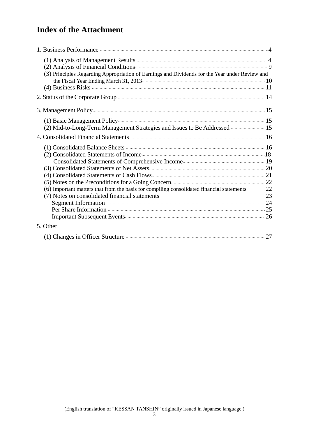# **Index of the Attachment**

| (3) Principles Regarding Appropriation of Earnings and Dividends for the Year under Review and         |  |
|--------------------------------------------------------------------------------------------------------|--|
|                                                                                                        |  |
| 2. Status of the Corporate Group <b>Exercise Exercise Croup</b> 14                                     |  |
|                                                                                                        |  |
|                                                                                                        |  |
| (2) Mid-to-Long-Term Management Strategies and Issues to Be Addressed 15                               |  |
|                                                                                                        |  |
|                                                                                                        |  |
|                                                                                                        |  |
|                                                                                                        |  |
| (3) Consolidated Statements of Net Assets <b>Marshall Statements</b> 20                                |  |
|                                                                                                        |  |
| (5) Notes on the Preconditions for a Going Concern (22) Notes on the Preconditions for a Going Concern |  |
| (6) Important matters that from the basis for compiling consolidated financial statements22            |  |
|                                                                                                        |  |
|                                                                                                        |  |
|                                                                                                        |  |
|                                                                                                        |  |
| 5. Other                                                                                               |  |
|                                                                                                        |  |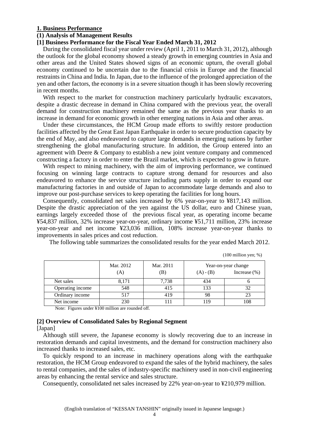#### **1. Business Performance**

## **(1) Analysis of Management Results**

### **[1] Business Performance for the Fiscal Year Ended March 31, 2012**

During the consolidated fiscal year under review (April 1, 2011 to March 31, 2012), although the outlook for the global economy showed a steady growth in emerging countries in Asia and other areas and the United States showed signs of an economic upturn, the overall global economy continued to be uncertain due to the financial crisis in Europe and the financial restraints in China and India. In Japan, due to the influence of the prolonged appreciation of the yen and other factors, the economy is in a severe situation though it has been slowly recovering in recent months.

With respect to the market for construction machinery particularly hydraulic excavators, despite a drastic decrease in demand in China compared with the previous year, the overall demand for construction machinery remained the same as the previous year thanks to an increase in demand for economic growth in other emerging nations in Asia and other areas.

Under these circumstances, the HCM Group made efforts to swiftly restore production facilities affected by the Great East Japan Earthquake in order to secure production capacity by the end of May, and also endeavored to capture large demands in emerging nations by further strengthening the global manufacturing structure. In addition, the Group entered into an agreement with Deere & Company to establish a new joint venture company and commenced constructing a factory in order to enter the Brazil market, which is expected to grow in future.

With respect to mining machinery, with the aim of improving performance, we continued focusing on winning large contracts to capture strong demand for resources and also endeavored to enhance the service structure including parts supply in order to expand our manufacturing factories in and outside of Japan to accommodate large demands and also to improve our post-purchase services to keep operating the facilities for long hours.

Consequently, consolidated net sales increased by 6% year-on-year to ¥817,143 million. Despite the drastic appreciation of the yen against the US dollar, euro and Chinese yuan, earnings largely exceeded those of the previous fiscal year, as operating income became ¥54,837 million, 32% increase year-on-year, ordinary income ¥51,711 million, 23% increase year-on-year and net income ¥23,036 million, 108% increase year-on-year thanks to improvements in sales prices and cost reduction.

The following table summarizes the consolidated results for the year ended March 2012.

(100 million yen; %)

|                  | Mar. 2012<br>(A) | Mar. 2011<br>(B) | Year-on-year change<br>Increase $(\%)$<br>$(A) - (B)$ |     |
|------------------|------------------|------------------|-------------------------------------------------------|-----|
| Net sales        | 8,171            | 7,738            | 434                                                   |     |
| Operating income | 548              | 415              | 133                                                   |     |
| Ordinary income  | 517              | 419              | 98                                                    |     |
| Net income       | 230              |                  | 119                                                   | 108 |

Note: Figures under ¥100 million are rounded off.

## **[2] Overview of Consolidated Sales by Regional Segment**

## [Japan]

Although still severe, the Japanese economy is slowly recovering due to an increase in restoration demands and capital investments, and the demand for construction machinery also increased thanks to increased sales, etc.

To quickly respond to an increase in machinery operations along with the earthquake restoration, the HCM Group endeavored to expand the sales of the hybrid machinery, the sales to rental companies, and the sales of industry-specific machinery used in non-civil engineering areas by enhancing the rental service and sales structure.

Consequently, consolidated net sales increased by 22% year-on-year to ¥210,979 million.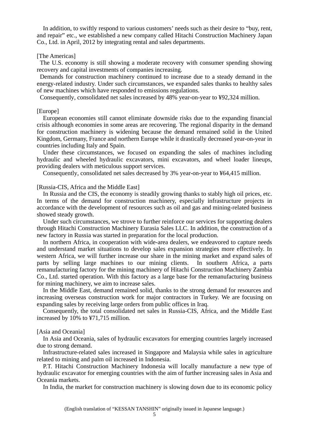In addition, to swiftly respond to various customers' needs such as their desire to "buy, rent, and repair" etc., we established a new company called Hitachi Construction Machinery Japan Co., Ltd. in April, 2012 by integrating rental and sales departments.

#### [The Americas]

The U.S. economy is still showing a moderate recovery with consumer spending showing recovery and capital investments of companies increasing.

Demands for construction machinery continued to increase due to a steady demand in the energy-related industry. Under such circumstances, we expanded sales thanks to healthy sales of new machines which have responded to emissions regulations.

Consequently, consolidated net sales increased by 48% year-on-year to ¥92,324 million.

## [Europe]

European economies still cannot eliminate downside risks due to the expanding financial crisis although economies in some areas are recovering. The regional disparity in the demand for construction machinery is widening because the demand remained solid in the United Kingdom, Germany, France and northern Europe while it drastically decreased year-on-year in countries including Italy and Spain.

Under these circumstances, we focused on expanding the sales of machines including hydraulic and wheeled hydraulic excavators, mini excavators, and wheel loader lineups, providing dealers with meticulous support services.

Consequently, consolidated net sales decreased by 3% year-on-year to ¥64,415 million.

#### [Russia-CIS, Africa and the Middle East]

In Russia and the CIS, the economy is steadily growing thanks to stably high oil prices, etc. In terms of the demand for construction machinery, especially infrastructure projects in accordance with the development of resources such as oil and gas and mining-related business showed steady growth.

Under such circumstances, we strove to further reinforce our services for supporting dealers through Hitachi Construction Machinery Eurasia Sales LLC. In addition, the construction of a new factory in Russia was started in preparation for the local production.

In northern Africa, in cooperation with wide-area dealers, we endeavored to capture needs and understand market situations to develop sales expansion strategies more effectively. In western Africa, we will further increase our share in the mining market and expand sales of parts by selling large machines to our mining clients. In southern Africa, a parts remanufacturing factory for the mining machinery of Hitachi Construction Machinery Zambia Co., Ltd. started operation. With this factory as a large base for the remanufacturing business for mining machinery, we aim to increase sales.

In the Middle East, demand remained solid, thanks to the strong demand for resources and increasing overseas construction work for major contractors in Turkey. We are focusing on expanding sales by receiving large orders from public offices in Iraq.

Consequently, the total consolidated net sales in Russia-CIS, Africa, and the Middle East increased by 10% to ¥71,715 million.

#### [Asia and Oceania]

In Asia and Oceania, sales of hydraulic excavators for emerging countries largely increased due to strong demand.

Infrastructure-related sales increased in Singapore and Malaysia while sales in agriculture related to mining and palm oil increased in Indonesia.

P.T. Hitachi Construction Machinery Indonesia will locally manufacture a new type of hydraulic excavator for emerging countries with the aim of further increasing sales in Asia and Oceania markets.

In India, the market for construction machinery is slowing down due to its economic policy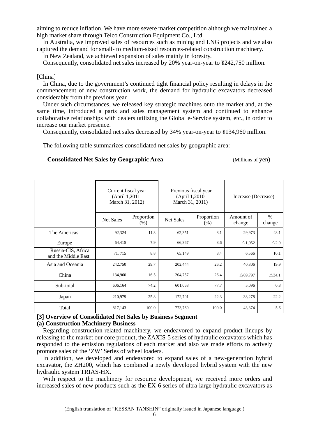aiming to reduce inflation. We have more severe market competition although we maintained a high market share through Telco Construction Equipment Co., Ltd.

In Australia, we improved sales of resources such as mining and LNG projects and we also captured the demand for small- to medium-sized resources-related construction machinery.

In New Zealand, we achieved expansion of sales mainly in forestry.

Consequently, consolidated net sales increased by 20% year-on-year to ¥242,750 million.

### [China]

In China, due to the government's continued tight financial policy resulting in delays in the commencement of new construction work, the demand for hydraulic excavators decreased considerably from the previous year.

Under such circumstances, we released key strategic machines onto the market and, at the same time, introduced a parts and sales management system and continued to enhance collaborative relationships with dealers utilizing the Global e-Service system, etc., in order to increase our market presence.

Consequently, consolidated net sales decreased by 34% year-on-year to ¥134,960 million.

The following table summarizes consolidated net sales by geographic area:

#### **Consolidated Net Sales by Geographic Area** (Millions of yen)

|                                           | Current fiscal year<br>(April 1,2011-<br>March 31, 2012) |                      | Previous fiscal year<br>(April 1,2010-<br>March 31, 2011) |                    | Increase (Decrease) |                  |
|-------------------------------------------|----------------------------------------------------------|----------------------|-----------------------------------------------------------|--------------------|---------------------|------------------|
|                                           | <b>Net Sales</b>                                         | Proportion<br>$(\%)$ | <b>Net Sales</b>                                          | Proportion<br>(% ) | Amount of<br>change | $\%$<br>change   |
| The Americas                              | 92,324                                                   | 11.3                 | 62,351                                                    | 8.1                | 29,973              | 48.1             |
| Europe                                    | 64,415                                                   | 7.9                  | 66,367                                                    | 8.6                | $\triangle$ 1,952   | $\triangle$ 2.9  |
| Russia-CIS, Africa<br>and the Middle East | 71,715                                                   | 8.8                  | 65,149                                                    | 8.4                | 6,566               | 10.1             |
| Asia and Oceania                          | 242,750                                                  | 29.7                 | 202,444                                                   | 26.2               | 40,306              | 19.9             |
| China                                     | 134,960                                                  | 16.5                 | 204,757                                                   | 26.4               | $\triangle$ 69,797  | $\triangle$ 34.1 |
| Sub-total                                 | 606,164                                                  | 74.2                 | 601,068                                                   | 77.7               | 5,096               | 0.8              |
| Japan                                     | 210,979                                                  | 25.8                 | 172,701                                                   | 22.3               | 38,278              | 22.2             |
| Total                                     | 817,143                                                  | 100.0                | 773,769                                                   | 100.0              | 43,374              | 5.6              |

## **[3] Overview of Consolidated Net Sales by Business Segment**

#### **(a) Construction Machinery Business**

Regarding construction-related machinery, we endeavored to expand product lineups by releasing to the market our core product, the ZAXIS-5 series of hydraulic excavators which has responded to the emission regulations of each market and also we made efforts to actively promote sales of the 'ZW' Series of wheel loaders.

In addition, we developed and endeavored to expand sales of a new-generation hybrid excavator, the ZH200, which has combined a newly developed hybrid system with the new hydraulic system TRIAS-HX.

With respect to the machinery for resource development, we received more orders and increased sales of new products such as the EX-6 series of ultra-large hydraulic excavators as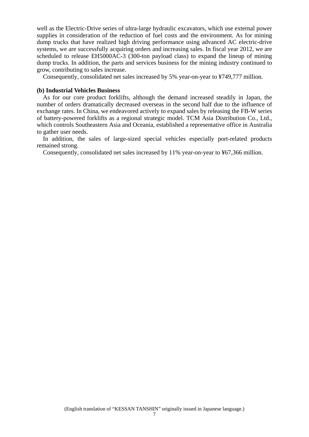well as the Electric-Drive series of ultra-large hydraulic excavators, which use external power supplies in consideration of the reduction of fuel costs and the environment. As for mining dump trucks that have realized high driving performance using advanced AC electric-drive systems, we are successfully acquiring orders and increasing sales. In fiscal year 2012, we are scheduled to release EH5000AC-3 (300-ton payload class) to expand the lineup of mining dump trucks. In addition, the parts and services business for the mining industry continued to grow, contributing to sales increase.

Consequently, consolidated net sales increased by 5% year-on-year to ¥749,777 million.

#### **(b) Industrial Vehicles Business**

As for our core product forklifts, although the demand increased steadily in Japan, the number of orders dramatically decreased overseas in the second half due to the influence of exchange rates. In China, we endeavored actively to expand sales by releasing the FB-W series of battery-powered forklifts as a regional strategic model. TCM Asia Distribution Co., Ltd., which controls Southeastern Asia and Oceania, established a representative office in Australia to gather user needs.

In addition, the sales of large-sized special vehicles especially port-related products remained strong.

Consequently, consolidated net sales increased by 11% year-on-year to ¥67,366 million.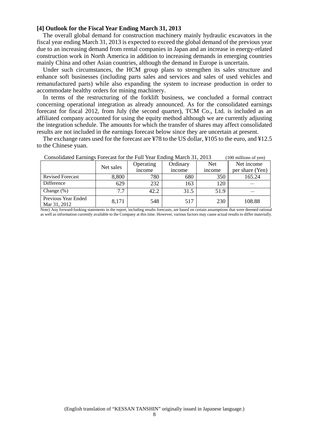#### **[4] Outlook for the Fiscal Year Ending March 31, 2013**

The overall global demand for construction machinery mainly hydraulic excavators in the fiscal year ending March 31, 2013 is expected to exceed the global demand of the previous year due to an increasing demand from rental companies in Japan and an increase in energy-related construction work in North America in addition to increasing demands in emerging countries mainly China and other Asian countries, although the demand in Europe is uncertain.

Under such circumstances, the HCM group plans to strengthen its sales structure and enhance soft businesses (including parts sales and services and sales of used vehicles and remanufactured parts) while also expanding the system to increase production in order to accommodate healthy orders for mining machinery.

In terms of the restructuring of the forklift business, we concluded a formal contract concerning operational integration as already announced. As for the consolidated earnings forecast for fiscal 2012, from July (the second quarter), TCM Co., Ltd. is included as an affiliated company accounted for using the equity method although we are currently adjusting the integration schedule. The amounts for which the transfer of shares may affect consolidated results are not included in the earnings forecast below since they are uncertain at present.

The exchange rates used for the forecast are ¥78 to the US dollar, ¥105 to the euro, and ¥12.5 to the Chinese yuan.

|                                     | Net sales | Operating<br>income | Ordinary<br>income | <b>Net</b><br><i>n</i> come | Net income<br>per share (Yen) |
|-------------------------------------|-----------|---------------------|--------------------|-----------------------------|-------------------------------|
| <b>Revised Forecast</b>             | 8,800     | 780                 | 680                | 350                         | 165.24                        |
| Difference                          | 629       | 232                 | 163                | 120                         |                               |
| Change $(\%)$                       | 7.7       | 42.2                | 31.5               | 51.9                        |                               |
| Previous Year Ended<br>Mar 31, 2012 | 8,171     | 548                 | 517                | 230                         | 108.88                        |

Consolidated Earnings Forecast for the Full Year Ending March 31, 2013 (100 millions of yen)

Note) Any forward-looking statements in the report, including results forecasts, are based on certain assumptions that were deemed rational as well as information currently available to the Company at this time. However, various factors may cause actual results to differ materially.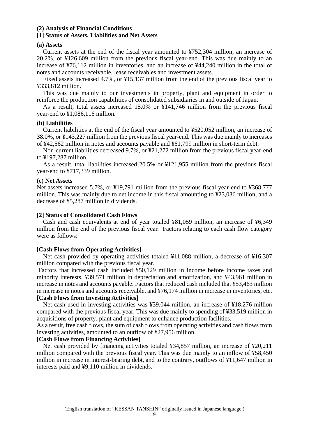## **(2) Analysis of Financial Conditions**

## **[1] Status of Assets, Liabilities and Net Assets**

#### **(a) Assets**

Current assets at the end of the fiscal year amounted to ¥752,304 million, an increase of 20.2%, or ¥126,609 million from the previous fiscal year-end. This was due mainly to an increase of ¥76,112 million in inventories, and an increase of ¥44,240 million in the total of notes and accounts receivable, lease receivables and investment assets.

Fixed assets increased 4.7%, or ¥15,137 million from the end of the previous fiscal year to ¥333,812 million.

This was due mainly to our investments in property, plant and equipment in order to reinforce the production capabilities of consolidated subsidiaries in and outside of Japan.

As a result, total assets increased 15.0% or ¥141,746 million from the previous fiscal year-end to ¥1,086,116 million.

#### **(b) Liabilities**

Current liabilities at the end of the fiscal year amounted to ¥520,052 million, an increase of 38.0%, or ¥143,227 million from the previous fiscal year-end. This was due mainly to increases of ¥42,562 million in notes and accounts payable and ¥61,799 million in short-term debt.

Non-current liabilities decreased 9.7%, or ¥21,272 million from the previous fiscal year-end to ¥197,287 million.

As a result, total liabilities increased 20.5% or ¥121,955 million from the previous fiscal year-end to ¥717,339 million.

#### **(c) Net Assets**

Net assets increased 5.7%, or ¥19,791 million from the previous fiscal year-end to ¥368,777 million. This was mainly due to net income in this fiscal amounting to ¥23,036 million, and a decrease of ¥5,287 million in dividends.

#### **[2] Status of Consolidated Cash Flows**

Cash and cash equivalents at end of year totaled ¥81,059 million, an increase of ¥6,349 million from the end of the previous fiscal year. Factors relating to each cash flow category were as follows:

#### **[Cash Flows from Operating Activities]**

Net cash provided by operating activities totaled ¥11,088 million, a decrease of ¥16,307 million compared with the previous fiscal year.

 Factors that increased cash included ¥50,129 million in income before income taxes and minority interests, ¥39,571 million in depreciation and amortization, and ¥43,961 million in increase in notes and accounts payable. Factors that reduced cash included that ¥53,463 million in increase in notes and accounts receivable, and ¥76,174 million in increase in inventories, etc. **[Cash Flows from Investing Activities]** 

Net cash used in investing activities was ¥39,044 million, an increase of ¥18,276 million compared with the previous fiscal year. This was due mainly to spending of ¥33,519 million in acquisitions of property, plant and equipment to enhance production facilities.

As a result, free cash flows, the sum of cash flows from operating activities and cash flows from investing activities, amounted to an outflow of ¥27,956 million.

## **[Cash Flows from Financing Activities]**

Net cash provided by financing activities totaled ¥34,857 million, an increase of ¥20,211 million compared with the previous fiscal year. This was due mainly to an inflow of ¥58,450 million in increase in interest-bearing debt, and to the contrary, outflows of ¥11,647 million in interests paid and ¥9,110 million in dividends.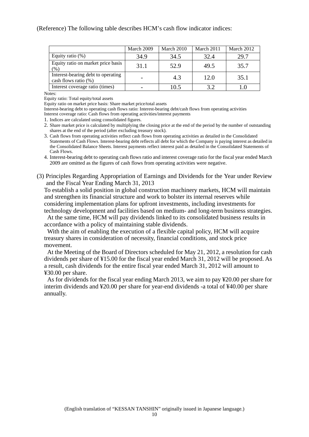|                                                               | March 2009 | March 2010 | March 2011 | March 2012 |
|---------------------------------------------------------------|------------|------------|------------|------------|
| Equity ratio $(\%)$                                           | 34.9       | 34.5       | 32.4       | 29.7       |
| Equity ratio on market price basis<br>$(%^{6})$               | 31.1       | 52.9       | 49.5       | 35.7       |
| Interest-bearing debt to operating<br>cash flows ratio $(\%)$ |            | 4.3        | 12.0       | 35.1       |
| Interest coverage ratio (times)                               |            | 10.5       | 39         |            |

Notes:

Equity ratio: Total equity/total assets

Equity ratio on market price basis: Share market price/total assets

Interest-bearing debt to operating cash flows ratio: Interest-bearing debt/cash flows from operating activities Interest coverage ratio: Cash flows from operating activities/interest payments

1. Indices are calculated using consolidated figures.

2. Share market price is calculated by multiplying the closing price at the end of the period by the number of outstanding shares at the end of the period (after excluding treasury stock).

3. Cash flows from operating activities reflect cash flows from operating activities as detailed in the Consolidated Statements of Cash Flows. Interest-bearing debt reflects all debt for which the Company is paying interest as detailed in the Consolidated Balance Sheets. Interest payments reflect interest paid as detailed in the Consolidated Statements of Cash Flows.

4. Interest-bearing debt to operating cash flows ratio and interest coverage ratio for the fiscal year ended March 2009 are omitted as the figures of cash flows from operating activities were negative.

(3) Principles Regarding Appropriation of Earnings and Dividends for the Year under Review and the Fiscal Year Ending March 31, 2013

To establish a solid position in global construction machinery markets, HCM will maintain and strengthen its financial structure and work to bolster its internal reserves while considering implementation plans for upfront investments, including investments for technology development and facilities based on medium- and long-term business strategies.

At the same time, HCM will pay dividends linked to its consolidated business results in accordance with a policy of maintaining stable dividends.

With the aim of enabling the execution of a flexible capital policy, HCM will acquire treasury shares in consideration of necessity, financial conditions, and stock price movement.

At the Meeting of the Board of Directors scheduled for May 21, 2012, a resolution for cash dividends per share of ¥15.00 for the fiscal year ended March 31, 2012 will be proposed. As a result, cash dividends for the entire fiscal year ended March 31, 2012 will amount to ¥30.00 per share.

As for dividends for the fiscal year ending March 2013, we aim to pay ¥20.00 per share for interim dividends and ¥20.00 per share for year-end dividends -a total of ¥40.00 per share annually.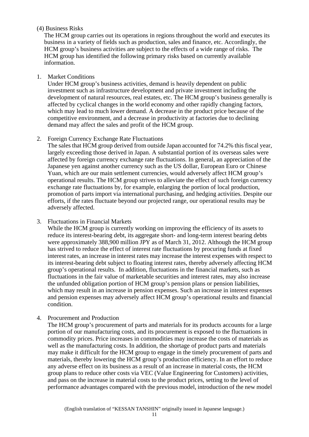## (4) Business Risks

The HCM group carries out its operations in regions throughout the world and executes its business in a variety of fields such as production, sales and finance, etc. Accordingly, the HCM group's business activities are subject to the effects of a wide range of risks. The HCM group has identified the following primary risks based on currently available information.

1. Market Conditions

Under HCM group's business activities, demand is heavily dependent on public investment such as infrastructure development and private investment including the development of natural resources, real estates, etc. The HCM group's business generally is affected by cyclical changes in the world economy and other rapidly changing factors, which may lead to much lower demand. A decrease in the product price because of the competitive environment, and a decrease in productivity at factories due to declining demand may affect the sales and profit of the HCM group.

## 2. Foreign Currency Exchange Rate Fluctuations

The sales that HCM group derived from outside Japan accounted for 74.2% this fiscal year, largely exceeding those derived in Japan. A substantial portion of its overseas sales were affected by foreign currency exchange rate fluctuations. In general, an appreciation of the Japanese yen against another currency such as the US dollar, European Euro or Chinese Yuan, which are our main settlement currencies, would adversely affect HCM group's operational results. The HCM group strives to alleviate the effect of such foreign currency exchange rate fluctuations by, for example, enlarging the portion of local production, promotion of parts import via international purchasing, and hedging activities. Despite our efforts, if the rates fluctuate beyond our projected range, our operational results may be adversely affected.

3. Fluctuations in Financial Markets

While the HCM group is currently working on improving the efficiency of its assets to reduce its interest-bearing debt, its aggregate short- and long-term interest bearing debts were approximately 388,900 million JPY as of March 31, 2012. Although the HCM group has strived to reduce the effect of interest rate fluctuations by procuring funds at fixed interest rates, an increase in interest rates may increase the interest expenses with respect to its interest-bearing debt subject to floating interest rates, thereby adversely affecting HCM group's operational results. In addition, fluctuations in the financial markets, such as fluctuations in the fair value of marketable securities and interest rates, may also increase the unfunded obligation portion of HCM group's pension plans or pension liabilities, which may result in an increase in pension expenses. Such an increase in interest expenses and pension expenses may adversely affect HCM group's operational results and financial condition.

4. Procurement and Production

The HCM group's procurement of parts and materials for its products accounts for a large portion of our manufacturing costs, and its procurement is exposed to the fluctuations in commodity prices. Price increases in commodities may increase the costs of materials as well as the manufacturing costs. In addition, the shortage of product parts and materials may make it difficult for the HCM group to engage in the timely procurement of parts and materials, thereby lowering the HCM group's production efficiency. In an effort to reduce any adverse effect on its business as a result of an increase in material costs, the HCM group plans to reduce other costs via VEC (Value Engineering for Customers) activities, and pass on the increase in material costs to the product prices, setting to the level of performance advantages compared with the previous model, introduction of the new model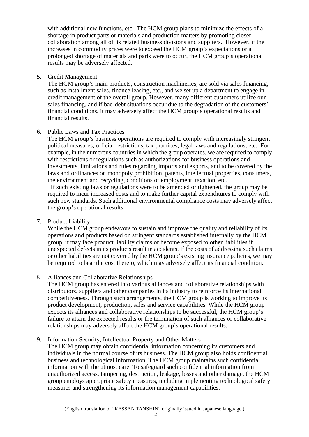with additional new functions, etc. The HCM group plans to minimize the effects of a shortage in product parts or materials and production matters by promoting closer collaboration among all of its related business divisions and suppliers. However, if the increases in commodity prices were to exceed the HCM group's expectations or a prolonged shortage of materials and parts were to occur, the HCM group's operational results may be adversely affected.

5. Credit Management

The HCM group's main products, construction machineries, are sold via sales financing, such as installment sales, finance leasing, etc., and we set up a department to engage in credit management of the overall group. However, many different customers utilize our sales financing, and if bad-debt situations occur due to the degradation of the customers' financial conditions, it may adversely affect the HCM group's operational results and financial results.

## 6. Public Laws and Tax Practices

The HCM group's business operations are required to comply with increasingly stringent political measures, official restrictions, tax practices, legal laws and regulations, etc. For example, in the numerous countries in which the group operates, we are required to comply with restrictions or regulations such as authorizations for business operations and investments, limitations and rules regarding imports and exports, and to be covered by the laws and ordinances on monopoly prohibition, patents, intellectual properties, consumers, the environment and recycling, conditions of employment, taxation, etc.

If such existing laws or regulations were to be amended or tightened, the group may be required to incur increased costs and to make further capital expenditures to comply with such new standards. Such additional environmental compliance costs may adversely affect the group's operational results.

7. Product Liability

While the HCM group endeavors to sustain and improve the quality and reliability of its operations and products based on stringent standards established internally by the HCM group, it may face product liability claims or become exposed to other liabilities if unexpected defects in its products result in accidents. If the costs of addressing such claims or other liabilities are not covered by the HCM group's existing insurance policies, we may be required to bear the cost thereto, which may adversely affect its financial condition.

8. Alliances and Collaborative Relationships

The HCM group has entered into various alliances and collaborative relationships with distributors, suppliers and other companies in its industry to reinforce its international competitiveness. Through such arrangements, the HCM group is working to improve its product development, production, sales and service capabilities. While the HCM group expects its alliances and collaborative relationships to be successful, the HCM group's failure to attain the expected results or the termination of such alliances or collaborative relationships may adversely affect the HCM group's operational results.

## 9. Information Security, Intellectual Property and Other Matters

The HCM group may obtain confidential information concerning its customers and individuals in the normal course of its business. The HCM group also holds confidential business and technological information. The HCM group maintains such confidential information with the utmost care. To safeguard such confidential information from unauthorized access, tampering, destruction, leakage, losses and other damage, the HCM group employs appropriate safety measures, including implementing technological safety measures and strengthening its information management capabilities.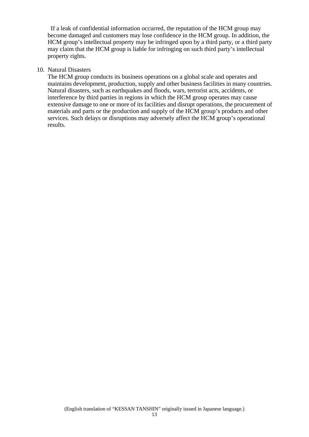If a leak of confidential information occurred, the reputation of the HCM group may become damaged and customers may lose confidence in the HCM group. In addition, the HCM group's intellectual property may be infringed upon by a third party, or a third party may claim that the HCM group is liable for infringing on such third party's intellectual property rights.

## 10. Natural Disasters

The HCM group conducts its business operations on a global scale and operates and maintains development, production, supply and other business facilities in many countries. Natural disasters, such as earthquakes and floods, wars, terrorist acts, accidents, or interference by third parties in regions in which the HCM group operates may cause extensive damage to one or more of its facilities and disrupt operations, the procurement of materials and parts or the production and supply of the HCM group's products and other services. Such delays or disruptions may adversely affect the HCM group's operational results.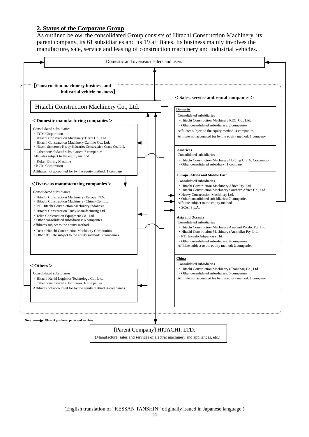## **2. Status of the Corporate Group**

As outlined below, the consolidated Group consists of Hitachi Construction Machinery, its parent company, its 61 subsidiaries and its 19 affiliates. Its business mainly involves the manufacture, sale, service and leasing of construction machinery and industrial vehicles.

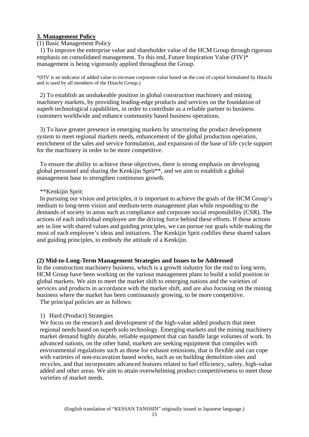## **3. Management Policy**

## (1) Basic Management Policy

1) To improve the enterprise value and shareholder value of the HCM Group through rigorous emphasis on consolidated management. To this end, Future Inspiration Value (FIV)\* management is being vigorously applied throughout the Group.

\*(FIV is an indicator of added value to increase corporate value based on the cost of capital formulated by Hitachi and is used by all members of the Hitachi Group.)

2) To establish an unshakeable position in global construction machinery and mining machinery markets, by providing leading-edge products and services on the foundation of superb technological capabilities, in order to contribute as a reliable partner to business customers worldwide and enhance community based business operations.

3) To have greater presence in emerging markets by structuring the product development system to meet regional markets needs, enhancement of the global production operation, enrichment of the sales and service formulation, and expansion of the base of life cycle support for the machinery in order to be more competitive.

To ensure the ability to achieve these objectives, there is strong emphasis on developing global personnel and sharing the Kenkijin Sprit\*\*, and we aim to establish a global management base to strengthen continuous growth.

## \*\*Kenkijin Sprit:

In pursuing our vision and principles, it is important to achieve the goals of the HCM Group's medium to long-term vision and medium-term management plan while responding to the demands of society in areas such as compliance and corporate social responsibility (CSR). The actions of each individual employee are the driving force behind these efforts. If these actions are in line with shared values and guiding principles, we can pursue our goals while making the most of each employee's ideas and initiatives. The Kenkijin Sprit codifies these shared values and guiding principles, to embody the attitude of a Kenkijin.

## **(2) Mid-to-Long-Term Management Strategies and Issues to be Addressed**

In the construction machinery business, which is a growth industry for the mid to long term, HCM Group have been working on the various management plans to build a solid position in global markets. We aim to meet the market shift to emerging nations and the varieties of services and products in accordance with the market shift, and are also focusing on the mining business where the market has been continuously growing, to be more competitive. The principal policies are as follows:

## 1) Hard (Product) Strategies

We focus on the research and development of the high-value added products that meet regional needs based on superb solo technology. Emerging markets and the mining machinery market demand highly durable, reliable equipment that can handle large volumes of work. In advanced nations, on the other hand, markets are seeking equipment that compiles with environmental regulations such as those for exhaust emissions, that is flexible and can cope with varieties of non-excavation based works, such as on building demolition sites and recycles, and that incorporates advanced features related to fuel efficiency, safety, high-value added and other areas. We aim to attain overwhelming product competitiveness to meet those varieties of market needs.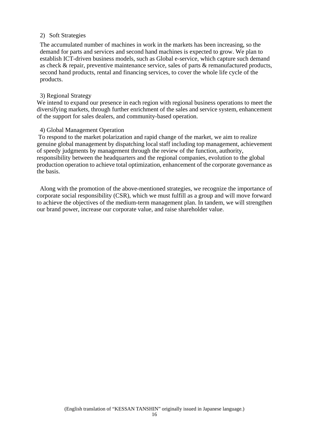## 2) Soft Strategies

The accumulated number of machines in work in the markets has been increasing, so the demand for parts and services and second hand machines is expected to grow. We plan to establish ICT-driven business models, such as Global e-service, which capture such demand as check & repair, preventive maintenance service, sales of parts & remanufactured products, second hand products, rental and financing services, to cover the whole life cycle of the products.

## 3) Regional Strategy

We intend to expand our presence in each region with regional business operations to meet the diversifying markets, through further enrichment of the sales and service system, enhancement of the support for sales dealers, and community-based operation.

## 4) Global Management Operation

 To respond to the market polarization and rapid change of the market, we aim to realize genuine global management by dispatching local staff including top management, achievement of speedy judgments by management through the review of the function, authority, responsibility between the headquarters and the regional companies, evolution to the global production operation to achieve total optimization, enhancement of the corporate governance as the basis.

Along with the promotion of the above-mentioned strategies, we recognize the importance of corporate social responsibility (CSR), which we must fulfill as a group and will move forward to achieve the objectives of the medium-term management plan. In tandem, we will strengthen our brand power, increase our corporate value, and raise shareholder value.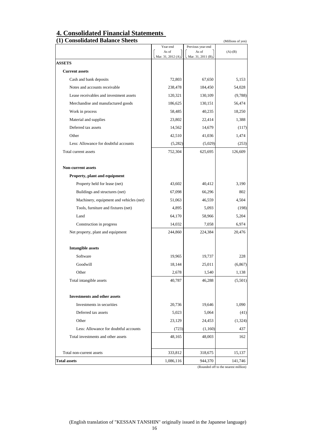# **4. Consolidated Financial Statements**

| (1) Consolidated Balance Sheets         |                    |                            | (Millions of yen)                    |
|-----------------------------------------|--------------------|----------------------------|--------------------------------------|
|                                         | Year-end<br>As of  | Previous year-end<br>As of |                                      |
|                                         | Mar. 31, 2012 (A). | Mar. 31, 2011 (B).         | $(A)-(B)$                            |
| <b>ASSETS</b>                           |                    |                            |                                      |
| <b>Current assets</b>                   |                    |                            |                                      |
| Cash and bank deposits                  | 72,803             | 67,650                     | 5,153                                |
| Notes and accounts receivable           | 238,478            | 184,450                    | 54,028                               |
| Lease receivables and investment assets | 120,321            | 130,109                    | (9,788)                              |
| Merchandise and manufactured goods      | 186,625            | 130,151                    | 56,474                               |
| Work in process                         | 58,485             | 40,235                     | 18,250                               |
| Material and supplies                   | 23,802             | 22,414                     | 1,388                                |
| Deferred tax assets                     | 14,562             | 14,679                     | (117)                                |
| Other                                   | 42,510             | 41,036                     | 1,474                                |
| Less: Allowance for doubtful accounts   | (5,282)            | (5,029)                    | (253)                                |
| Total current assets                    | 752,304            | 625,695                    | 126,609                              |
| <b>Non-current assets</b>               |                    |                            |                                      |
| Property, plant and equipment           |                    |                            |                                      |
| Property held for lease (net)           | 43,602             | 40,412                     | 3,190                                |
| Buildings and structures (net)          | 67,098             | 66,296                     | 802                                  |
| Machinery, equipment and vehicles (net) | 51,063             | 46,559                     | 4,504                                |
| Tools, furniture and fixtures (net)     | 4,895              | 5,093                      | (198)                                |
| Land                                    | 64,170             | 58,966                     | 5,204                                |
| Construction in progress                | 14,032             | 7,058                      | 6,974                                |
| Net property, plant and equipment       | 244,860            | 224,384                    | 20,476                               |
| <b>Intangible assets</b>                |                    |                            |                                      |
| Software                                | 19,965             | 19,737                     | 228                                  |
| Goodwill                                | 18,144             | 25,011                     | (6, 867)                             |
| Other                                   | 2,678              | 1,540                      | 1,138                                |
| Total intangible assets                 | 40,787             | 46,288                     | (5,501)                              |
| <b>Investments and other assets</b>     |                    |                            |                                      |
| Investments in securities               | 20,736             | 19,646                     | 1,090                                |
| Deferred tax assets                     | 5,023              | 5,064                      | (41)                                 |
| Other                                   | 23,129             | 24,453                     | (1, 324)                             |
| Less: Allowance for doubtful accounts   | (723)              | (1,160)                    | 437                                  |
| Total investments and other assets      | 48,165             | 48,003                     | 162                                  |
| Total non-current assets                | 333,812            | 318,675                    | 15,137                               |
| <b>Total assets</b>                     | 1,086,116          | 944,370                    | 141,746                              |
|                                         |                    |                            | (Rounded off to the nearest million) |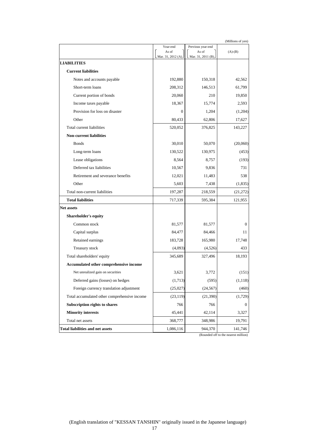| (Millions of yen)                            |                                         |                                                  |                |
|----------------------------------------------|-----------------------------------------|--------------------------------------------------|----------------|
|                                              | Year-end<br>As of<br>Mar. 31, 2012 (A). | Previous year-end<br>As of<br>Mar. 31, 2011 (B). | $(A)-(B)$      |
| <b>LIABILITIES</b>                           |                                         |                                                  |                |
| <b>Current liabilities</b>                   |                                         |                                                  |                |
| Notes and accounts payable                   | 192,880                                 | 150,318                                          | 42,562         |
| Short-term loans                             | 208,312                                 | 146,513                                          | 61,799         |
| Current portion of bonds                     | 20,060                                  | 210                                              | 19,850         |
| Income taxes payable                         | 18,367                                  | 15,774                                           | 2,593          |
| Provision for loss on disaster               | $\theta$                                | 1,204                                            | (1,204)        |
| Other                                        | 80,433                                  | 62,806                                           | 17,627         |
| Total current liabilities                    | 520,052                                 | 376,825                                          | 143,227        |
| <b>Non-current liabilities</b>               |                                         |                                                  |                |
| <b>Bonds</b>                                 | 30,010                                  | 50,070                                           | (20,060)       |
| Long-term loans                              | 130,522                                 | 130,975                                          | (453)          |
| Lease obligations                            | 8,564                                   | 8,757                                            | (193)          |
| Deferred tax liabilities                     | 10,567                                  | 9.836                                            | 731            |
| Retirement and severance benefits            | 12,021                                  | 11,483                                           | 538            |
| Other                                        | 5,603                                   | 7,438                                            | (1,835)        |
| Total non-current liabilities                | 197,287                                 | 218,559                                          | (21, 272)      |
| <b>Total liabilities</b>                     | 717,339                                 | 595,384                                          | 121,955        |
| <b>Net assets</b>                            |                                         |                                                  |                |
| Shareholder's equity                         |                                         |                                                  |                |
| Common stock                                 | 81,577                                  | 81,577                                           | $\mathbf{0}$   |
| Capital surplus                              | 84,477                                  | 84,466                                           | 11             |
| Retained earnings                            | 183,728                                 | 165,980                                          | 17,748         |
| Treasury stock                               | (4,093)                                 | (4,526)                                          | 433            |
| Total shareholders' equity                   | 345,689                                 | 327,496                                          | 18,193         |
| Accumulated other comprehensive income       |                                         |                                                  |                |
| Net unrealized gain on securities            | 3,621                                   | 3,772                                            | (151)          |
| Deferred gains (losses) on hedges            | (1,713)                                 | (595)                                            | (1, 118)       |
| Foreign currency translation adjustment      | (25, 027)                               | (24, 567)                                        | (460)          |
| Total accumulated other comprehensive income | (23, 119)                               | (21, 390)                                        | (1, 729)       |
| Subscription rights to shares                | 766                                     | 766                                              | $\overline{0}$ |
| <b>Minority interests</b>                    | 45,441                                  | 42,114                                           | 3,327          |
| Total net assets                             | 368,777                                 | 348,986                                          | 19,791         |
| <b>Total liabilities and net assets</b>      | 1,086,116                               | 944,370                                          | 141,746        |

(Rounded off to the nearest million)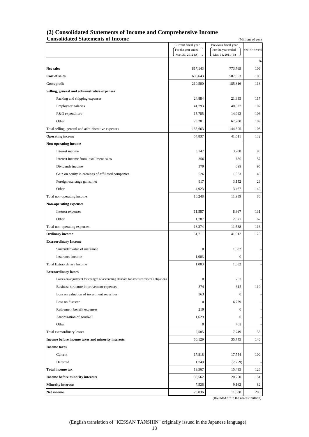| (2) Consolidated Statements of Income and Comprehensive Income |
|----------------------------------------------------------------|
| <b>Consolidated Statements of Income</b>                       |

| <b>Consolidated Statements of Income</b>                                                 | (Millions of yen)                       |                                         |                        |
|------------------------------------------------------------------------------------------|-----------------------------------------|-----------------------------------------|------------------------|
|                                                                                          | Current fiscal year                     | Previous fiscal year                    |                        |
|                                                                                          | For the year ended<br>Mar. 31, 2012 (A) | For the year ended<br>Mar. 31, 2011 (B) | $(A)/(B)\times 100(%)$ |
|                                                                                          |                                         |                                         | %                      |
| <b>Net sales</b>                                                                         | 817,143                                 | 773,769                                 | 106                    |
| <b>Cost of sales</b>                                                                     | 606,643                                 | 587,953                                 | 103                    |
| Gross profit                                                                             | 210,500                                 | 185,816                                 | 113                    |
| Selling, general and administrative expenses                                             |                                         |                                         |                        |
| Packing and shipping expenses                                                            | 24,884                                  | 21,335                                  | 117                    |
| Employees' salaries                                                                      | 41,793                                  | 40,827                                  | 102                    |
| R&D expenditure                                                                          | 15,785                                  | 14,943                                  | 106                    |
| Other                                                                                    |                                         |                                         | 109                    |
|                                                                                          | 73,201                                  | 67,200                                  |                        |
| Total selling, general and administrative expenses                                       | 155,663                                 | 144,305                                 | 108                    |
| <b>Operating income</b>                                                                  | 54,837                                  | 41,511                                  | 132                    |
| Non-operating income                                                                     |                                         |                                         |                        |
| Interest income                                                                          | 3,147                                   | 3,208                                   | 98                     |
| Interest income from installment sales                                                   | 356                                     | 630                                     | 57                     |
| Dividends income                                                                         | 379                                     | 399                                     | 95                     |
| Gain on equity in earnings of affiliated companies                                       | 526                                     | 1,083                                   | 49                     |
| Foreign exchange gains, net                                                              | 917                                     | 3,152                                   | 29                     |
| Other                                                                                    | 4,923                                   | 3,467                                   | 142                    |
| Total non-operating income                                                               | 10,248                                  | 11,939                                  | 86                     |
| <b>Non-operating expenses</b>                                                            |                                         |                                         |                        |
| Interest expenses                                                                        | 11,587                                  | 8,867                                   | 131                    |
| Other                                                                                    | 1,787                                   | 2,671                                   | 67                     |
| Total non-operating expenses                                                             | 13,374                                  | 11,538                                  | 116                    |
| <b>Ordinary income</b>                                                                   | 51,711                                  | 41,912                                  | 123                    |
| <b>Extraordinary Income</b>                                                              |                                         |                                         |                        |
| Surrender value of insurance                                                             | $\boldsymbol{0}$                        | 1,582                                   |                        |
| Insurance income                                                                         | 1,003                                   | $\mathbf{0}$                            |                        |
| <b>Total Extraordinary Income</b>                                                        | 1,003                                   | 1,582                                   |                        |
| <b>Extraordinary losses</b>                                                              |                                         |                                         |                        |
| Losses on adjustment for changes of accounting standard for asset retirement obligations | $\boldsymbol{0}$                        | 203                                     |                        |
| Business structure improvement expenses                                                  | 374                                     | 315                                     | 119                    |
| Loss on valuation of investment securities                                               | 363                                     | $\mathbf{0}$                            |                        |
| Loss on disaster                                                                         | $\boldsymbol{0}$                        | 6,779                                   |                        |
| Retirement benefit expenses                                                              | 219                                     | $\mathbf{0}$                            |                        |
| Amortization of goodwill                                                                 | 1,629                                   | $\boldsymbol{0}$                        |                        |
| Other                                                                                    | $\boldsymbol{0}$                        | 452                                     |                        |
| Total extraordinary losses                                                               | 2,585                                   | 7,749                                   | 33                     |
| Income before income taxes and minority interests                                        | 50,129                                  | 35,745                                  | 140                    |
| <b>Income taxes</b>                                                                      |                                         |                                         |                        |
| Current                                                                                  | 17,818                                  | 17,754                                  | 100                    |
| Deferred                                                                                 | 1,749                                   | (2,259)                                 |                        |
| <b>Total income tax</b>                                                                  | 19,567                                  |                                         |                        |
|                                                                                          |                                         | 15,495                                  | 126                    |
| Income before minority interests                                                         | 30,562                                  | 20,250                                  | 151                    |
| <b>Minority interests</b>                                                                | 7,526                                   | 9,162                                   | 82                     |
| Net income                                                                               | 23,036                                  | 11,088                                  | 208                    |

(Rounded off to the nearest million)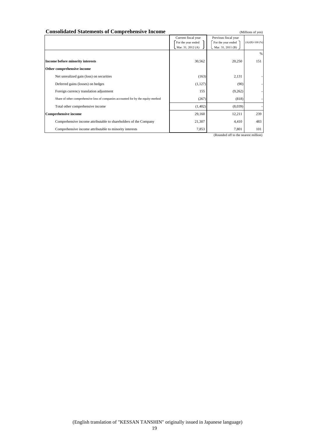| <b>Consolidated Statements of Comprehensive Income</b>                            |                                                                |                                                                 | (Millions of yen)      |
|-----------------------------------------------------------------------------------|----------------------------------------------------------------|-----------------------------------------------------------------|------------------------|
|                                                                                   | Current fiscal year<br>For the year ended<br>Mar. 31, 2012 (A) | Previous fiscal year<br>For the year ended<br>Mar. 31, 2011 (B) | $(A)/(B)\times 100(%)$ |
|                                                                                   | 30,562                                                         | 20,250                                                          | %<br>151               |
| Income before minority interests<br>Other comprehensive income                    |                                                                |                                                                 |                        |
| Net unrealized gain (loss) on securities                                          | (163)                                                          | 2,131                                                           |                        |
| Deferred gains (losses) on hedges                                                 | (1,127)                                                        | (90)                                                            |                        |
| Foreign currency translation adjustment                                           | 155                                                            | (9,262)                                                         |                        |
| Share of other comprehensive loss of companies accounted for by the equity-method | (267)                                                          | (818)                                                           |                        |
| Total other comprehensive income                                                  | (1,402)                                                        | (8,039)                                                         |                        |
| <b>Comprehensive income</b>                                                       | 29,160                                                         | 12,211                                                          | 239                    |
| Comprehensive income attributable to shareholders of the Company                  | 21,307                                                         | 4,410                                                           | 483                    |
| Comprehensive income attributable to minority interests                           | 7,853                                                          | 7,801                                                           | 101                    |
|                                                                                   |                                                                | (Rounded off to the nearest million)                            |                        |

(English translation of "KESSAN TANSHIN" originally issued in Japanese language)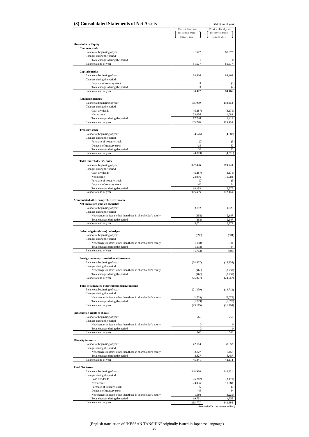| (3) Consolidated Statements of Net Assets                                                        |                                           | (Millions of yen)                          |
|--------------------------------------------------------------------------------------------------|-------------------------------------------|--------------------------------------------|
|                                                                                                  | Current fiscal year<br>For the year ended | Previous fiscal year<br>For the year ended |
|                                                                                                  | Mar. 31, 2012                             | Mar. 31, 2011                              |
| <b>Shareholders' Equity</b>                                                                      |                                           |                                            |
| <b>Common stock</b>                                                                              |                                           |                                            |
| Balance at beginning of year                                                                     | 81,577                                    | 81,577                                     |
| Changes during the period<br>Total changes during the period                                     | $\boldsymbol{0}$                          | 0                                          |
| Balance at end of year                                                                           | 81,577                                    | 81,577                                     |
|                                                                                                  |                                           |                                            |
| <b>Capital surplus</b><br>Balance at beginning of year                                           | 84,466                                    | 84,468                                     |
| Changes during the period                                                                        |                                           |                                            |
| Disposal of treasury stock                                                                       | 11                                        | (2)                                        |
| Total changes during the period<br>Balance at end of year                                        | 11<br>84,477                              | (2)<br>84,466                              |
|                                                                                                  |                                           |                                            |
| <b>Retained earnings</b>                                                                         |                                           |                                            |
| Balance at beginning of year<br>Changes during the period                                        | 165,980                                   | 158,063                                    |
| Cash dividends                                                                                   | (5, 287)                                  | (3,171)                                    |
| Net income                                                                                       | 23,036                                    | 11,088                                     |
| Total changes during the period                                                                  | 17,748                                    | 7,917                                      |
| Balance at end of year                                                                           | 183,728                                   | 165,980                                    |
| <b>Treasury stock</b>                                                                            |                                           |                                            |
| Balance at beginning of year                                                                     | (4, 526)                                  | (4,588)                                    |
| Changes during the period<br>Purchase of treasury stock                                          | (2)                                       | (5)                                        |
| Disposal of treasury stock                                                                       | 435                                       | 67                                         |
| Total changes during the period                                                                  | 433                                       | 62                                         |
| Balance at end of year                                                                           | (4,093)                                   | (4,526)                                    |
| <b>Total Shareholders' equity</b>                                                                |                                           |                                            |
| Balance at beginning of year                                                                     | 327,496                                   | 319,520                                    |
| Changes during the period                                                                        |                                           |                                            |
| Cash dividends<br>Net income                                                                     | (5, 287)<br>23,036                        | (3,171)<br>11,088                          |
| Purchase of treasury stock                                                                       | (2)                                       | (5)                                        |
| Disposal of treasury stock                                                                       | 446                                       | 64                                         |
| Total changes during the period<br>Balance at end of year                                        | 18,193<br>345,689                         | 7,976<br>327,496                           |
|                                                                                                  |                                           |                                            |
| Accumulated other comprehensive income                                                           |                                           |                                            |
| Net unrealized gain on securities                                                                | 3,772                                     | 1,625                                      |
| Balance at beginning of year<br>Changes during the period                                        |                                           |                                            |
| Net changes in items other than those in shareholder's equity                                    | (151)                                     | 2,147                                      |
| Total changes during the period                                                                  | (151)                                     | 2,147                                      |
| Balance at end of year                                                                           | 3,621                                     | 3,772                                      |
| Deferred gains (losses) on hedges                                                                |                                           |                                            |
| Balance at beginning of year                                                                     | (595)                                     | (501)                                      |
| Changes during the period<br>Net changes in items other than those in shareholder's equity       | (1,118)                                   | (94)                                       |
| Total changes during the period                                                                  | (1, 118)                                  | (94)                                       |
| Balance at end of year                                                                           | (1,713)                                   | (595)                                      |
| Foreign currency translation adjustments                                                         |                                           |                                            |
| Balance at beginning of year                                                                     | (24, 567)                                 | (15, 836)                                  |
| Changes during the period                                                                        |                                           |                                            |
| Net changes in items other than those in shareholder's equity<br>Total changes during the period | (460)<br>(460)                            | (8,731)                                    |
| Balance at end of year                                                                           | (25,027)                                  | (8,731)<br>(24, 567)                       |
|                                                                                                  |                                           |                                            |
| Total accumulated other comprehensive income                                                     |                                           |                                            |
| Balance at beginning of year<br>Changes during the period                                        | (21,390)                                  | (14, 712)                                  |
| Net changes in items other than those in shareholder's equity                                    | (1, 729)                                  | (6,678)                                    |
| Total changes during the period                                                                  | (1, 729)                                  | (6, 678)                                   |
| Balance at end of year                                                                           | (23, 119)                                 | (21, 390)                                  |
| Subscription rights to shares                                                                    |                                           |                                            |
| Balance at beginning of year                                                                     | 766                                       | 766                                        |
| Changes during the period<br>Net changes in items other than those in shareholder's equity       | $\boldsymbol{0}$                          | $\boldsymbol{0}$                           |
| Total changes during the period                                                                  | $\boldsymbol{0}$                          | $\mathbf{0}$                               |
| Balance at end of year                                                                           | 766                                       | 766                                        |
| <b>Minority interests</b>                                                                        |                                           |                                            |
| Balance at beginning of year                                                                     | 42,114                                    | 38,657                                     |
| Changes during the period                                                                        |                                           |                                            |
| Net changes in items other than those in shareholder's equity                                    | 3,327                                     | 3,457                                      |
| Total changes during the period<br>Balance at end of year                                        | 3,327<br>45,441                           | 3,457<br>42,114                            |
|                                                                                                  |                                           |                                            |
| <b>Total Net Assets</b>                                                                          |                                           |                                            |
| Balance at beginning of year<br>Changes during the period                                        | 348,986                                   | 344,231                                    |
| Cash dividends                                                                                   | (5,287)                                   | (3,171)                                    |
| Net income                                                                                       | 23,036                                    | 11,088                                     |
| Purchase of treasury stock                                                                       | (2)<br>446                                | (5)<br>64                                  |
| Disposal of treasury stock<br>Net changes in items other than those in shareholder's equity      | 1,598                                     | (3,221)                                    |
| Total changes during the period                                                                  |                                           |                                            |
| Balance at end of year                                                                           | 19,791<br>368,777                         | 4,755<br>348,986                           |

(English translation of "KESSAN TANSHIN" originally issued in Japanese language) 20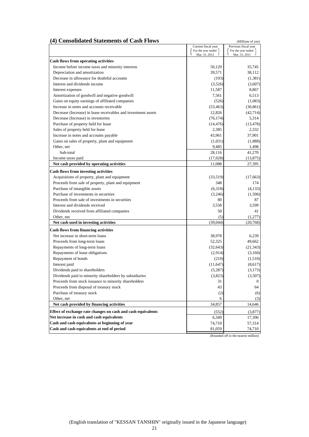## **(4) Consolidated Statements of Cash Flows** (Millions of yen)

|                                                                | Current fiscal year<br>For the year ended | Previous fiscal year<br>For the year ended |
|----------------------------------------------------------------|-------------------------------------------|--------------------------------------------|
|                                                                | Mar. 31, 2012                             | Mar. 31, 2011                              |
| <b>Cash flows from operating activities</b>                    |                                           |                                            |
| Income before income taxes and minority interests              | 50,129                                    | 35,745                                     |
| Depreciation and amortization                                  | 39,571                                    | 38,112                                     |
| Decrease in allowance for doubtful accounts                    | (193)                                     | (1, 381)                                   |
| Interest and dividends income                                  | (3,526)                                   | (3,607)                                    |
| Interest expenses                                              | 11,587                                    | 8,867                                      |
| Amortization of goodwill and negative goodwill                 | 7,561                                     | 6,513                                      |
| Gains on equity earnings of affiliated companies               | (526)                                     | (1,083)                                    |
| Increase in notes and accounts receivable                      | (53, 463)                                 | (30, 861)                                  |
| Decrease (Increase) in lease receivables and investment assets | 12,826                                    | (42, 714)                                  |
| Decrease (Increase) in inventories                             | (76, 174)                                 | 5,314                                      |
| Purchase of property held for lease                            | (14, 476)                                 | (13, 478)                                  |
| Sales of property held for lease                               | 2,385                                     | 2,332                                      |
| Increase in notes and accounts payable                         | 43,961                                    | 37,901                                     |
| Gains on sales of property, plant and equipment                | (1,031)                                   | (1,888)                                    |
| Other, net                                                     | 9,485                                     | 1,498                                      |
| Sub-total                                                      | 28,116                                    | 41,270                                     |
| Income taxes paid                                              | (17,028)                                  | (13, 875)                                  |
| Net cash provided by operating activities                      | 11,088                                    | 27,395                                     |
|                                                                |                                           |                                            |
| <b>Cash flows from investing activities</b>                    |                                           |                                            |
| Acquisitions of property, plant and equipment                  | (33,519)                                  | (17,663)                                   |
| Proceeds from sale of property, plant and equipment            | 348                                       | 174                                        |
| Purchase of intangible assets                                  | (6,318)                                   | (4,133)                                    |
| Purchase of investments in securities                          | (3,246)                                   | (1, 596)                                   |
| Proceeds from sale of investments in securities                | 80                                        | 87                                         |
| Interest and dividends received                                | 3,558                                     | 3,599                                      |
| Dividends received from affiliated companies                   | 58                                        | 41                                         |
| Other, net                                                     | (5)                                       | (1,277)                                    |
| Net cash used in investing activities                          | (39,044)                                  | (20, 768)                                  |
| <b>Cash flows from financing activities</b>                    |                                           |                                            |
| Net increase in short-term loans                               | 38,978                                    | 6,239                                      |
| Proceeds from long-term loans                                  | 52,325                                    | 49,662                                     |
| Repayments of long-term loans                                  | (32, 643)                                 | (21, 343)                                  |
| Repayments of lease obligations                                | (2,914)                                   | (3,160)                                    |
| Repayment of bonds                                             | (210)                                     | (1,510)                                    |
| Interest paid                                                  | (11, 647)                                 | (8,617)                                    |
| Dividends paid to shareholders                                 | (5,287)                                   | (3,173)                                    |
| Dividends paid to minority shareholders by subsidiaries        | (3,823)                                   | (3,507)                                    |
| Proceeds from stock issuance to minority shareholders          | 31                                        | $\mathbf{0}$                               |
| Proceeds from disposal of treasury stock                       | 43                                        | 64                                         |
| Purchase of treasury stock                                     | (2)                                       | (6)                                        |
| Other, net                                                     | 6                                         | (3)                                        |
| Net cash provided by financing activities                      | 34,857                                    | 14,646                                     |
| Effect of exchange rate changes on cash and cash equivalents   | (552)                                     | (3,877)                                    |
| Net increase in cash and cash equivalents                      | 6,349                                     | 17,396                                     |
| Cash and cash equivalents at beginning of year                 | 74,710                                    | 57,314                                     |
| Cash and cash equivalents at end of period                     | 81,059                                    | 74,710                                     |

(Rounded off to the nearest million)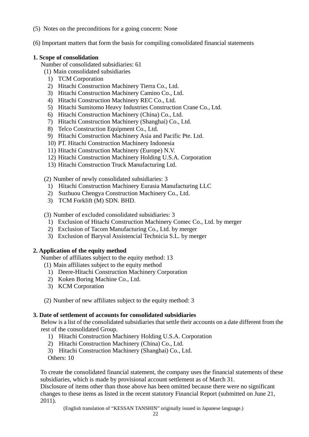- (5) Notes on the preconditions for a going concern: None
- (6) Important matters that form the basis for compiling consolidated financial statements

## **1. Scope of consolidation**

Number of consolidated subsidiaries: 61

- (1) Main consolidated subsidiaries
	- 1) TCM Corporation
	- 2) Hitachi Construction Machinery Tierra Co., Ltd.
	- 3) Hitachi Construction Machinery Camino Co., Ltd.
	- 4) Hitachi Construction Machinery REC Co., Ltd.
	- 5) Hitachi Sumitomo Heavy Industries Construction Crane Co., Ltd.
	- 6) Hitachi Construction Machinery (China) Co., Ltd.
	- 7) Hitachi Construction Machinery (Shanghai) Co., Ltd.
	- 8) Telco Construction Equipment Co., Ltd.
	- 9) Hitachi Construction Machinery Asia and Pacific Pte. Ltd.
	- 10) PT. Hitachi Construction Machinery Indonesia
	- 11) Hitachi Construction Machinery (Europe) N.V.
	- 12) Hitachi Construction Machinery Holding U.S.A. Corporation
	- 13) Hitachi Construction Truck Manufacturing Ltd.

(2) Number of newly consolidated subsidiaries: 3

- 1) Hitachi Construction Machinery Eurasia Manufacturing LLC
- 2) Suzhuou Chengya Construction Machinery Co., Ltd.
- 3) TCM Forklift (M) SDN. BHD.

(3) Number of excluded consolidated subsidiaries: 3

- 1) Exclusion of Hitachi Construction Machinery Comec Co., Ltd. by merger
- 2) Exclusion of Tacom Manufacturing Co., Ltd. by merger
- 3) Exclusion of Baryval Assistencial Technicia S.L. by merger

## **2. Application of the equity method**

Number of affiliates subject to the equity method: 13

(1) Main affiliates subject to the equity method

- 1) Deere-Hitachi Construction Machinery Corporation
- 2) Koken Boring Machine Co., Ltd.
- 3) KCM Corporation
- (2) Number of new affiliates subject to the equity method: 3

## **3. Date of settlement of accounts for consolidated subsidiaries**

Below is a list of the consolidated subsidiaries that settle their accounts on a date different from the rest of the consolidated Group.

- 1) Hitachi Construction Machinery Holding U.S.A. Corporation
- 2) Hitachi Construction Machinery (China) Co., Ltd.
- 3) Hitachi Construction Machinery (Shanghai) Co., Ltd.

Others: 10

To create the consolidated financial statement, the company uses the financial statements of these subsidiaries, which is made by provisional account settlement as of March 31.

Disclosure of items other than those above has been omitted because there were no significant changes to these items as listed in the recent statutory Financial Report (submitted on June 21, 2011).

(English translation of "KESSAN TANSHIN" originally issued in Japanese language.)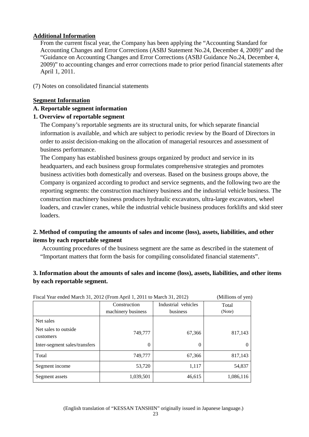## **Additional Information**

From the current fiscal year, the Company has been applying the "Accounting Standard for Accounting Changes and Error Corrections (ASBJ Statement No.24, December 4, 2009)" and the "Guidance on Accounting Changes and Error Corrections (ASBJ Guidance No.24, December 4, 2009)" to accounting changes and error corrections made to prior period financial statements after April 1, 2011.

(7) Notes on consolidated financial statements

## **Segment Information**

## **A. Reportable segment information**

## **1. Overview of reportable segment**

The Company's reportable segments are its structural units, for which separate financial information is available, and which are subject to periodic review by the Board of Directors in order to assist decision-making on the allocation of managerial resources and assessment of business performance.

The Company has established business groups organized by product and service in its headquarters, and each business group formulates comprehensive strategies and promotes business activities both domestically and overseas. Based on the business groups above, the Company is organized according to product and service segments, and the following two are the reporting segments: the construction machinery business and the industrial vehicle business. The construction machinery business produces hydraulic excavators, ultra-large excavators, wheel loaders, and crawler cranes, while the industrial vehicle business produces forklifts and skid steer loaders.

## **2. Method of computing the amounts of sales and income (loss), assets, liabilities, and other items by each reportable segment**

Accounting procedures of the business segment are the same as described in the statement of "Important matters that form the basis for compiling consolidated financial statements".

## **3. Information about the amounts of sales and income (loss), assets, liabilities, and other items by each reportable segment.**

|                                    | Fiscal Year ended March 31, 2012 (From April 1, 2011 to March 31, 2012) |                     |           |
|------------------------------------|-------------------------------------------------------------------------|---------------------|-----------|
|                                    | Construction                                                            | Industrial vehicles |           |
|                                    | machinery business                                                      | business            | (Note)    |
| Net sales                          |                                                                         |                     |           |
| Net sales to outside.<br>customers | 749,777                                                                 | 67,366              | 817,143   |
| Inter-segment sales/transfers      | 0                                                                       | 0                   | $\theta$  |
| Total                              | 749,777                                                                 | 67,366              | 817,143   |
| Segment income                     | 53,720                                                                  | 1,117               | 54,837    |
| Segment assets                     | 1,039,501                                                               | 46,615              | 1,086,116 |

(English translation of "KESSAN TANSHIN" originally issued in Japanese language.)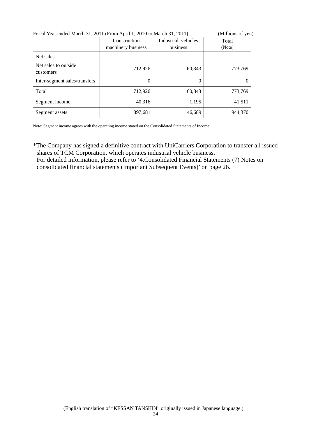| Fiscal Year ended March 31, 2011 (From April 1, 2010 to March 31, 2011) |                    | (Millions of yen)   |         |
|-------------------------------------------------------------------------|--------------------|---------------------|---------|
|                                                                         | Construction       | Industrial vehicles | Total   |
|                                                                         | machinery business | business            | (Note)  |
| Net sales                                                               |                    |                     |         |
| Net sales to outside.<br>customers                                      | 712,926            | 60,843              | 773,769 |
| Inter-segment sales/transfers                                           | $\theta$           | $\Omega$            | 0       |
| Total                                                                   | 712,926            | 60,843              | 773,769 |
| Segment income                                                          | 40,316             | 1.195               | 41,511  |
| Segment assets                                                          | 897,681            | 46,689              | 944,370 |

Note: Segment income agrees with the operating income stated on the Consolidated Statements of Income.

\*The Company has signed a definitive contract with UniCarriers Corporation to transfer all issued shares of TCM Corporation, which operates industrial vehicle business. For detailed information, please refer to '4.Consolidated Financial Statements (7) Notes on consolidated financial statements (Important Subsequent Events)' on page 26.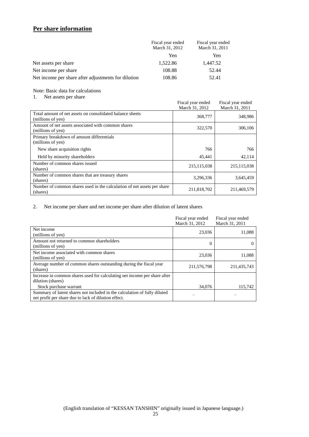## **Per share information**

|                                                     | Fiscal year ended<br>March 31, 2012 | Fiscal year ended<br>March 31, 2011 |
|-----------------------------------------------------|-------------------------------------|-------------------------------------|
|                                                     | Yen                                 | Yen                                 |
| Net assets per share                                | 1,522.86                            | 1,447.52                            |
| Net income per share                                | 108.88                              | 52.44                               |
| Net income per share after adjustments for dilution | 108.86                              | 52.41                               |

#### Note: Basic data for calculations

## 1. Net assets per share

|                                                                                     | Fiscal year ended<br>March 31, 2012 | Fiscal year ended<br>March 31, 2011 |
|-------------------------------------------------------------------------------------|-------------------------------------|-------------------------------------|
| Total amount of net assets on consolidated balance sheets<br>(millions of yen)      | 368,777                             | 348,986                             |
| Amount of net assets associated with common shares<br>(millions of yen)             | 322,570                             | 306,106                             |
| Primary breakdown of amount differentials<br>(millions of yen)                      |                                     |                                     |
| New share acquisition rights                                                        | 766                                 | 766                                 |
| Held by minority shareholders                                                       | 45,441                              | 42,114                              |
| Number of common shares issued<br>(shares)                                          | 215, 115, 038                       | 215, 115, 038                       |
| Number of common shares that are treasury shares<br>(shares)                        | 3,296,336                           | 3,645,459                           |
| Number of common shares used in the calculation of net assets per share<br>(shares) | 211,818,702                         | 211,469,579                         |

#### 2. Net income per share and net income per share after dilution of latent shares

|                                                                                                                                   | Fiscal year ended<br>March 31, 2012 | Fiscal year ended<br>March 31, 2011 |
|-----------------------------------------------------------------------------------------------------------------------------------|-------------------------------------|-------------------------------------|
| Net income<br>(millions of yen)                                                                                                   | 23,036                              | 11.088                              |
| Amount not returned to common shareholders<br>(millions of yen)                                                                   | 0                                   |                                     |
| Net income associated with common shares<br>(millions of yen)                                                                     | 23,036                              | 11,088                              |
| Average number of common shares outstanding during the fiscal year<br>(shares)                                                    | 211,576,798                         | 211,435,743                         |
| Increase in common shares used for calculating net income per share after<br>dilution (shares)                                    |                                     |                                     |
| Stock purchase warrant                                                                                                            | 34,076                              | 115,742                             |
| Summary of latent shares not included in the calculation of fully diluted<br>net profit per share due to lack of dilution effect. |                                     |                                     |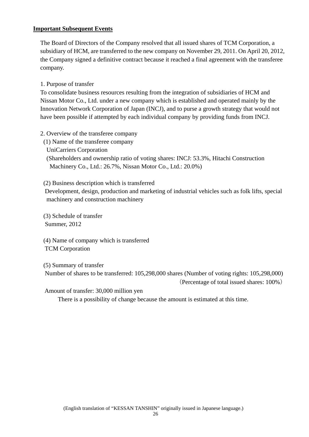## **Important Subsequent Events**

The Board of Directors of the Company resolved that all issued shares of TCM Corporation, a subsidiary of HCM, are transferred to the new company on November 29, 2011. On April 20, 2012, the Company signed a definitive contract because it reached a final agreement with the transferee company.

1. Purpose of transfer

To consolidate business resources resulting from the integration of subsidiaries of HCM and Nissan Motor Co., Ltd. under a new company which is established and operated mainly by the Innovation Network Corporation of Japan (INCJ), and to purse a growth strategy that would not have been possible if attempted by each individual company by providing funds from INCJ.

- 2. Overview of the transferee company
	- (1) Name of the transferee company
	- UniCarriers Corporation

 (Shareholders and ownership ratio of voting shares: INCJ: 53.3%, Hitachi Construction Machinery Co., Ltd.: 26.7%, Nissan Motor Co., Ltd.: 20.0%)

(2) Business description which is transferred

 Development, design, production and marketing of industrial vehicles such as folk lifts, special machinery and construction machinery

 (3) Schedule of transfer Summer, 2012

 (4) Name of company which is transferred TCM Corporation

 (5) Summary of transfer Number of shares to be transferred: 105,298,000 shares (Number of voting rights: 105,298,000)

(Percentage of total issued shares: 100%)

Amount of transfer: 30,000 million yen

There is a possibility of change because the amount is estimated at this time.